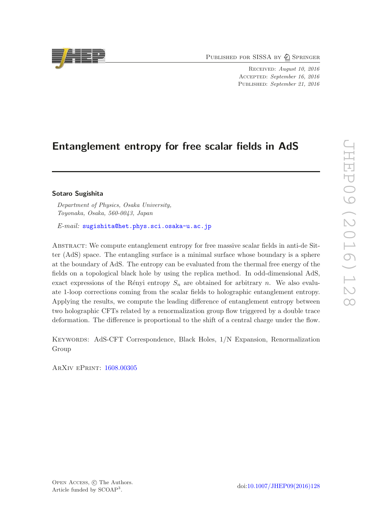PUBLISHED FOR SISSA BY 2 SPRINGER

Received: August 10, 2016 ACCEPTED: September 16, 2016 PUBLISHED: September 21, 2016

# Entanglement entropy for free scalar fields in AdS

## Sotaro Sugishita

Department of Physics, Osaka University, Toyonaka, Osaka, 560-0043, Japan

E-mail: [sugishita@het.phys.sci.osaka-u.ac.jp](mailto:sugishita@het.phys.sci.osaka-u.ac.jp)

Abstract: We compute entanglement entropy for free massive scalar fields in anti-de Sitter (AdS) space. The entangling surface is a minimal surface whose boundary is a sphere at the boundary of AdS. The entropy can be evaluated from the thermal free energy of the fields on a topological black hole by using the replica method. In odd-dimensional AdS, exact expressions of the Rényi entropy  $S_n$  are obtained for arbitrary n. We also evaluate 1-loop corrections coming from the scalar fields to holographic entanglement entropy. Applying the results, we compute the leading difference of entanglement entropy between two holographic CFTs related by a renormalization group flow triggered by a double trace deformation. The difference is proportional to the shift of a central charge under the flow.

Keywords: AdS-CFT Correspondence, Black Holes, 1/N Expansion, Renormalization Group

ArXiv ePrint: [1608.00305](http://arxiv.org/abs/1608.00305)

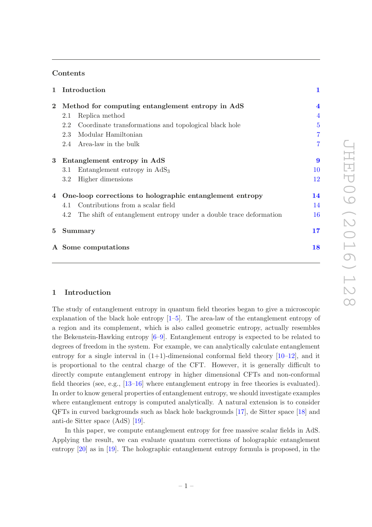## Contents

| $\mathbf{1}$    | Introduction                                                              | 1                       |
|-----------------|---------------------------------------------------------------------------|-------------------------|
| $\bf{2}$        | Method for computing entanglement entropy in AdS                          | $\overline{\mathbf{4}}$ |
|                 | Replica method<br>2.1                                                     | $\overline{4}$          |
|                 | Coordinate transformations and topological black hole<br>2.2              | $\overline{5}$          |
|                 | Modular Hamiltonian<br>2.3                                                | $\overline{7}$          |
|                 | 2.4 Area-law in the bulk                                                  | $\overline{7}$          |
| $3\phantom{.0}$ | Entanglement entropy in AdS                                               | $\boldsymbol{9}$        |
|                 | Entanglement entropy in $AdS_3$<br>3.1                                    | <b>10</b>               |
|                 | Higher dimensions<br>$3.2\,$                                              | 12                      |
| 4               | One-loop corrections to holographic entanglement entropy                  | 14                      |
|                 | Contributions from a scalar field<br>4.1                                  | 14                      |
|                 | The shift of entanglement entropy under a double trace deformation<br>4.2 | <b>16</b>               |
| $5^{\circ}$     | Summary                                                                   | 17                      |
|                 | A Some computations                                                       | 18                      |

## <span id="page-1-0"></span>1 Introduction

The study of entanglement entropy in quantum field theories began to give a microscopic explanation of the black hole entropy [\[1](#page-20-0)[–5\]](#page-20-1). The area-law of the entanglement entropy of a region and its complement, which is also called geometric entropy, actually resembles the Bekenstein-Hawking entropy [\[6](#page-20-2)[–9](#page-20-3)]. Entanglement entropy is expected to be related to degrees of freedom in the system. For example, we can analytically calculate entanglement entropy for a single interval in  $(1+1)$ -dimensional conformal field theory  $[10-12]$ , and it is proportional to the central charge of the CFT. However, it is generally difficult to directly compute entanglement entropy in higher dimensional CFTs and non-conformal field theories (see, e.g., [\[13](#page-20-6)[–16\]](#page-20-7) where entanglement entropy in free theories is evaluated). In order to know general properties of entanglement entropy, we should investigate examples where entanglement entropy is computed analytically. A natural extension is to consider QFTs in curved backgrounds such as black hole backgrounds [\[17\]](#page-20-8), de Sitter space [\[18\]](#page-20-9) and anti-de Sitter space (AdS) [\[19\]](#page-20-10).

In this paper, we compute entanglement entropy for free massive scalar fields in AdS. Applying the result, we can evaluate quantum corrections of holographic entanglement entropy [\[20](#page-20-11)] as in [\[19\]](#page-20-10). The holographic entanglement entropy formula is proposed, in the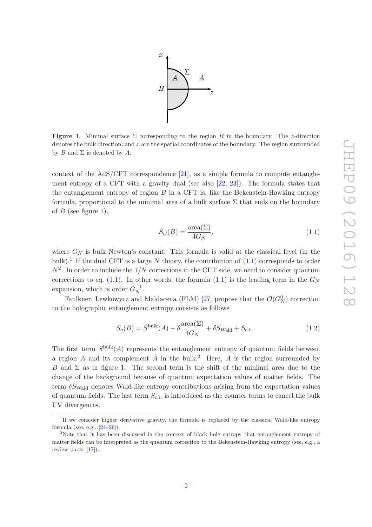

<span id="page-2-0"></span>**Figure 1.** Minimal surface  $\Sigma$  corresponding to the region B in the boundary. The z-direction denotes the bulk direction, and  $x$  are the spatial coordinates of the boundary. The region surrounded by B and  $\Sigma$  is denoted by A.

context of the AdS/CFT correspondence [\[21](#page-20-12)], as a simple formula to compute entanglement entropy of a CFT with a gravity dual (see also [\[22](#page-21-0), [23\]](#page-21-1)). The formula states that the entanglement entropy of region  $B$  in a CFT is, like the Bekenstein-Hawking entropy formula, proportional to the minimal area of a bulk surface  $\Sigma$  that ends on the boundary of  $B$  (see figure [1\)](#page-2-0),

<span id="page-2-4"></span><span id="page-2-2"></span>
$$
S_{cl}(B) = \frac{\text{area}(\Sigma)}{4G_N},\tag{1.1}
$$

where  $G_N$  is bulk Newton's constant. This formula is valid at the classical level (in the bulk).<sup>[1](#page-2-1)</sup> If the dual CFT is a large N theory, the contribution of  $(1.1)$  corresponds to order  $N^2$ . In order to include the  $1/N$  corrections in the CFT side, we need to consider quantum corrections to eq. [\(1.1\)](#page-2-2). In other words, the formula (1.1) is the leading term in the  $G_N$ expansion, which is order  $G_N^{-1}$ .

Faulkner, Lewkowycz and Maldacena (FLM) [\[27](#page-21-2)] propose that the  $\mathcal{O}(G_N^0)$  correction to the holographic entanglement entropy consists as follows

$$
S_q(B) = S^{\text{bulk}}(A) + \delta \frac{\text{area}(\Sigma)}{4G_N} + \delta S_{\text{Wald}} + S_{\text{c.t.}}.
$$
 (1.2)

The first term  $S^{\text{bulk}}(A)$  represents the entanglement entropy of quantum fields between a region A and its complement  $\overline{A}$  in the bulk.<sup>[2](#page-2-3)</sup> Here, A is the region surrounded by B and  $\Sigma$  as in figure [1.](#page-2-0) The second term is the shift of the minimal area due to the change of the background because of quantum expectation values of matter fields. The term  $\delta S_{\text{Wald}}$  denotes Wald-like entropy contributions arising from the expectation values of quantum fields. The last term  $S_{\text{c.t.}}$  is introduced as the counter terms to cancel the bulk UV divergences.

<span id="page-2-1"></span><sup>1</sup> If we consider higher derivative gravity, the formula is replaced by the classical Wald-like entropy formula (see, e.g., [\[24](#page-21-3)[–26](#page-21-4)]).

<span id="page-2-3"></span><sup>&</sup>lt;sup>2</sup>Note that it has been discussed in the context of black hole entropy that entanglement entropy of matter fields can be interpreted as the quantum correction to the Bekenstein-Hawking entropy (see, e.g., a review paper [\[17\]](#page-20-8)).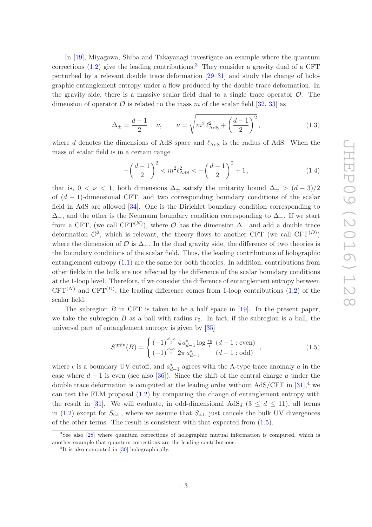In [\[19](#page-20-10)], Miyagawa, Shiba and Takayanagi investigate an example where the quantum corrections  $(1.2)$  give the leading contributions.<sup>[3](#page-3-0)</sup> They consider a gravity dual of a CFT perturbed by a relevant double trace deformation [\[29](#page-21-5)[–31\]](#page-21-6) and study the change of holographic entanglement entropy under a flow produced by the double trace deformation. In the gravity side, there is a massive scalar field dual to a single trace operator  $\mathcal{O}$ . The dimension of operator  $\mathcal O$  is related to the mass m of the scalar field [\[32](#page-21-7), [33\]](#page-21-8) as

$$
\Delta_{\pm} = \frac{d-1}{2} \pm \nu, \qquad \nu = \sqrt{m^2 \ell_{\text{AdS}}^2 + \left(\frac{d-1}{2}\right)^2}, \tag{1.3}
$$

where d denotes the dimensions of AdS space and  $\ell_{\text{AdS}}$  is the radius of AdS. When the mass of scalar field is in a certain range

<span id="page-3-3"></span>
$$
-\left(\frac{d-1}{2}\right)^2 < m^2 \ell_{\text{AdS}}^2 < -\left(\frac{d-1}{2}\right)^2 + 1,\tag{1.4}
$$

that is,  $0 < \nu < 1$ , both dimensions  $\Delta_{\pm}$  satisfy the unitarity bound  $\Delta_{\pm} > (d-3)/2$ of  $(d-1)$ -dimensional CFT, and two corresponding boundary conditions of the scalar field in AdS are allowed [\[34\]](#page-21-9). One is the Dirichlet boundary condition corresponding to  $\Delta_+$ , and the other is the Neumann boundary condition corresponding to  $\Delta_-$ . If we start from a CFT, (we call CFT<sup>(N)</sup>), where  $\mathcal O$  has the dimension  $\Delta_-\$  and add a double trace deformation  $\mathcal{O}^2$ , which is relevant, the theory flows to another CFT (we call CFT<sup>(D)</sup>) where the dimension of  $\mathcal O$  is  $\Delta_+$ . In the dual gravity side, the difference of two theories is the boundary conditions of the scalar field. Thus, the leading contributions of holographic entanglement entropy [\(1.1\)](#page-2-2) are the same for both theories. In addition, contributions from other fields in the bulk are not affected by the difference of the scalar boundary conditions at the 1-loop level. Therefore, if we consider the difference of entanglement entropy between  $CFT^{(N)}$  and  $CFT^{(D)}$ , the leading difference comes from 1-loop contributions [\(1.2\)](#page-2-4) of the scalar field.

The subregion  $B$  in CFT is taken to be a half space in [\[19\]](#page-20-10). In the present paper, we take the subregion B as a ball with radius  $r_0$ . In fact, if the subregion is a ball, the universal part of entanglement entropy is given by [\[35](#page-21-10)]

$$
S^{\text{univ}}(B) = \begin{cases} (-1)^{\frac{d-3}{2}} 4 a_{d-1}^* \log \frac{r_0}{\epsilon} (d-1 : \text{even}) \\ (-1)^{\frac{d-2}{2}} 2\pi a_{d-1}^* \qquad (d-1 : \text{odd}) \end{cases},
$$
(1.5)

where  $\epsilon$  is a boundary UV cutoff, and  $a_{d-1}^*$  agrees with the A-type trace anomaly a in the case where  $d-1$  is even (see also [\[36\]](#page-21-11)). Since the shift of the central charge a under the double trace deformation is computed at the leading order without  $AdS/CFT$  in [\[31](#page-21-6)],<sup>[4](#page-3-1)</sup> we can test the FLM proposal [\(1.2\)](#page-2-4) by comparing the change of entanglement entropy with the result in [\[31\]](#page-21-6). We will evaluate, in odd-dimensional  $AdS_d$  ( $3 \leq d \leq 11$ ), all terms in [\(1.2\)](#page-2-4) except for  $S_{\text{c.t.}}$ , where we assume that  $S_{\text{c.t.}}$  just cancels the bulk UV divergences of the other terms. The result is consistent with that expected from [\(1.5\)](#page-3-2).

<span id="page-3-2"></span>– 3 –

<sup>3</sup>See also [\[28](#page-21-12)] where quantum corrections of holographic mutual information is computed, which is another example that quantum corrections are the leading contributions.

<span id="page-3-1"></span><span id="page-3-0"></span><sup>&</sup>lt;sup>4</sup>It is also computed in [\[30\]](#page-21-13) holographically.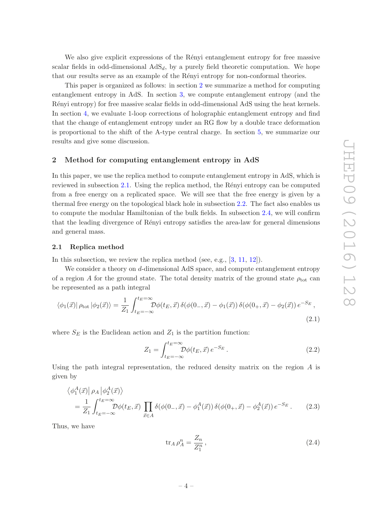We also give explicit expressions of the Rényi entanglement entropy for free massive scalar fields in odd-dimensional  $AdS_d$ , by a purely field theoretic computation. We hope that our results serve as an example of the Rényi entropy for non-conformal theories.

This paper is organized as follows: in section [2](#page-4-0) we summarize a method for computing entanglement entropy in AdS. In section [3,](#page-9-0) we compute entanglement entropy (and the R´enyi entropy) for free massive scalar fields in odd-dimensional AdS using the heat kernels. In section [4,](#page-14-0) we evaluate 1-loop corrections of holographic entanglement entropy and find that the change of entanglement entropy under an RG flow by a double trace deformation is proportional to the shift of the A-type central charge. In section [5,](#page-17-0) we summarize our results and give some discussion.

## <span id="page-4-0"></span>2 Method for computing entanglement entropy in AdS

In this paper, we use the replica method to compute entanglement entropy in AdS, which is reviewed in subsection  $2.1$ . Using the replica method, the Rényi entropy can be computed from a free energy on a replicated space. We will see that the free energy is given by a thermal free energy on the topological black hole in subsection [2.2.](#page-5-0) The fact also enables us to compute the modular Hamiltonian of the bulk fields. In subsection [2.4,](#page-7-1) we will confirm that the leading divergence of Rényi entropy satisfies the area-law for general dimensions and general mass.

#### <span id="page-4-1"></span>2.1 Replica method

In this subsection, we review the replica method (see, e.g.,  $[3, 11, 12]$  $[3, 11, 12]$  $[3, 11, 12]$  $[3, 11, 12]$  $[3, 11, 12]$ ).

We consider a theory on d-dimensional AdS space, and compute entanglement entropy of a region A for the ground state. The total density matrix of the ground state  $\rho_{\text{tot}}$  can be represented as a path integral

$$
\langle \phi_1(\vec{x}) | \rho_{\text{tot}} | \phi_2(\vec{x}) \rangle = \frac{1}{Z_1} \int_{t_E = -\infty}^{t_E = \infty} \mathcal{D}\phi(t_E, \vec{x}) \, \delta(\phi(0_-, \vec{x}) - \phi_1(\vec{x})) \, \delta(\phi(0_+, \vec{x}) - \phi_2(\vec{x})) \, e^{-S_E}, \tag{2.1}
$$

where  $S_E$  is the Euclidean action and  $Z_1$  is the partition function:

$$
Z_1 = \int_{t_E = -\infty}^{t_E = \infty} \mathcal{D}\phi(t_E, \vec{x}) e^{-S_E} . \tag{2.2}
$$

Using the path integral representation, the reduced density matrix on the region  $A$  is given by

$$
\langle \phi_1^A(\vec{x}) | \rho_A | \phi_2^A(\vec{x}) \rangle
$$
  
=  $\frac{1}{Z_1} \int_{t_E=-\infty}^{t_E=\infty} D\phi(t_E, \vec{x}) \prod_{\vec{x} \in A} \delta(\phi(0_-, \vec{x}) - \phi_1^A(\vec{x})) \delta(\phi(0_+, \vec{x}) - \phi_2^A(\vec{x})) e^{-S_E}$ . (2.3)

Thus, we have

$$
\operatorname{tr}_A \rho_A^n = \frac{Z_n}{Z_1^n},\tag{2.4}
$$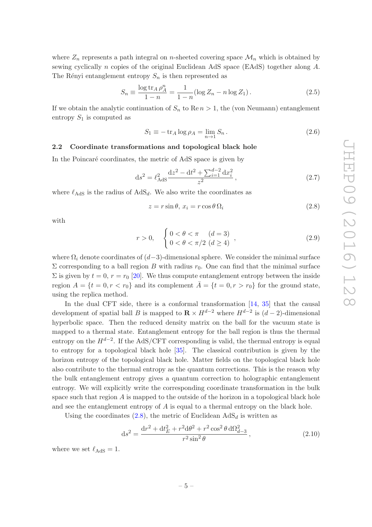where  $Z_n$  represents a path integral on *n*-sheeted covering space  $\mathcal{M}_n$  which is obtained by sewing cyclically n copies of the original Euclidean AdS space (EAdS) together along A. The Rényi entanglement entropy  $S_n$  is then represented as

$$
S_n \equiv \frac{\log \text{tr}_A \,\rho_A^n}{1 - n} = \frac{1}{1 - n} (\log Z_n - n \log Z_1). \tag{2.5}
$$

If we obtain the analytic continuation of  $S_n$  to Re  $n > 1$ , the (von Neumann) entanglement entropy  $S_1$  is computed as

$$
S_1 \equiv -\operatorname{tr}_A \log \rho_A = \lim_{n \to 1} S_n. \tag{2.6}
$$

# <span id="page-5-0"></span>2.2 Coordinate transformations and topological black hole

In the Poincaré coordinates, the metric of AdS space is given by

$$
ds^{2} = \ell_{AdS}^{2} \frac{dz^{2} - dt^{2} + \sum_{i=1}^{d-2} dx_{i}^{2}}{z^{2}},
$$
\n(2.7)

where  $\ell_{\text{AdS}}$  is the radius of  $\text{AdS}_d$ . We also write the coordinates as

<span id="page-5-3"></span><span id="page-5-1"></span>
$$
z = r\sin\theta, x_i = r\cos\theta \Omega_i \tag{2.8}
$$

with

$$
r > 0, \quad \begin{cases} 0 < \theta < \pi \\ 0 < \theta < \pi/2 \ (d \ge 4) \end{cases}, \tag{2.9}
$$

where  $\Omega_i$  denote coordinates of  $(d-3)$ -dimensional sphere. We consider the minimal surface  $\Sigma$  corresponding to a ball region B with radius  $r_0$ . One can find that the minimal surface  $\Sigma$  is given by  $t = 0$ ,  $r = r_0$  [\[20\]](#page-20-11). We thus compute entanglement entropy between the inside region  $A = \{t = 0, r < r_0\}$  and its complement  $\overline{A} = \{t = 0, r > r_0\}$  for the ground state, using the replica method.

In the dual CFT side, there is a conformal transformation [\[14](#page-20-15), [35](#page-21-10)] that the causal development of spatial ball B is mapped to  $\mathbf{R} \times H^{d-2}$  where  $H^{d-2}$  is  $(d-2)$ -dimensional hyperbolic space. Then the reduced density matrix on the ball for the vacuum state is mapped to a thermal state. Entanglement entropy for the ball region is thus the thermal entropy on the  $H^{d-2}$ . If the AdS/CFT corresponding is valid, the thermal entropy is equal to entropy for a topological black hole [\[35\]](#page-21-10). The classical contribution is given by the horizon entropy of the topological black hole. Matter fields on the topological black hole also contribute to the thermal entropy as the quantum corrections. This is the reason why the bulk entanglement entropy gives a quantum correction to holographic entanglement entropy. We will explicitly write the corresponding coordinate transformation in the bulk space such that region  $A$  is mapped to the outside of the horizon in a topological black hole and see the entanglement entropy of  $A$  is equal to a thermal entropy on the black hole.

Using the coordinates  $(2.8)$ , the metric of Euclidean  $AdS_d$  is written as

<span id="page-5-2"></span>
$$
ds^{2} = \frac{dr^{2} + dt_{E}^{2} + r^{2}d\theta^{2} + r^{2}\cos^{2}\theta \, d\Omega_{d-3}^{2}}{r^{2}\sin^{2}\theta},
$$
\n(2.10)

where we set  $\ell_{\text{AdS}} = 1$ .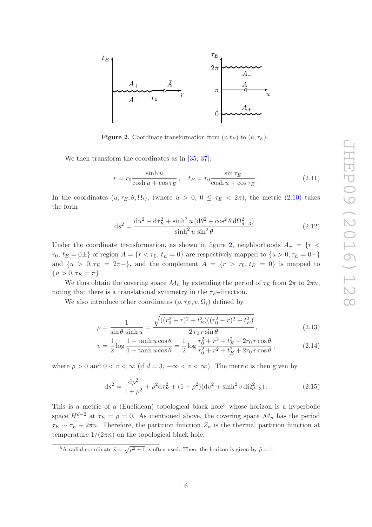

<span id="page-6-0"></span>**Figure 2.** Coordinate transformation from  $(r, t_E)$  to  $(u, \tau_E)$ .

We then transform the coordinates as in [\[35](#page-21-10), [37\]](#page-21-14):

$$
r = r_0 \frac{\sinh u}{\cosh u + \cos \tau_E}, \quad t_E = r_0 \frac{\sin \tau_E}{\cosh u + \cos \tau_E}.
$$
 (2.11)

In the coordinates  $(u, \tau_E, \theta, \Omega_i)$ , (where  $u > 0$ ,  $0 \leq \tau_E < 2\pi$ ), the metric [\(2.10\)](#page-5-2) takes the form

$$
ds^{2} = \frac{du^{2} + d\tau_{E}^{2} + \sinh^{2} u (d\theta^{2} + \cos^{2} \theta d\Omega_{d-3}^{2})}{\sinh^{2} u \sin^{2} \theta}.
$$
 (2.12)

Under the coordinate transformation, as shown in figure [2,](#page-6-0) neighborhoods  $A_{\pm} = \{r \leq$  $r_0, t_E = 0 \pm \}$  of region  $A = \{r \le r_0, t_E = 0\}$  are respectively mapped to  $\{u > 0, \tau_E = 0 + \}$ and  $\{u > 0, \tau_E = 2\pi\}$ , and the complement  $\overline{A} = \{r > r_0, t_E = 0\}$  is mapped to  $\{u > 0, \tau_E = \pi\}.$ 

We thus obtain the covering space  $\mathcal{M}_n$  by extending the period of  $\tau_E$  from  $2\pi$  to  $2\pi n$ , noting that there is a translational symmetry in the  $\tau_E$ -direction.

We also introduce other coordinates  $(\rho, \tau_E, v, \Omega_i)$  defined by

 $\rho$ 

$$
= \frac{1}{\sin\theta \sinh u} = \frac{\sqrt{((r_0^2 + r)^2 + t_E^2)((r_0^2 - r)^2 + t_E^2)}}{2\,r_0\,r\sin\theta},\tag{2.13}
$$

$$
v = \frac{1}{2} \log \frac{1 - \tanh u \cos \theta}{1 + \tanh u \cos \theta} = \frac{1}{2} \log \frac{r_0^2 + r^2 + t_E^2 - 2r_0 r \cos \theta}{r_0^2 + r^2 + t_E^2 + 2r_0 r \cos \theta},
$$
(2.14)

where  $\rho > 0$  and  $0 < v < \infty$  (if  $d = 3, -\infty < v < \infty$ ). The metric is then given by

<span id="page-6-2"></span>
$$
ds^{2} = \frac{d\rho^{2}}{1+\rho^{2}} + \rho^{2}d\tau_{E}^{2} + (1+\rho^{2})(dv^{2} + \sinh^{2} v \, d\Omega_{d-3}^{2}).
$$
\n(2.15)

This is a metric of a (Euclidean) topological black hole<sup>[5](#page-6-1)</sup> whose horizon is a hyperbolic space  $H^{d-2}$  at  $\tau_E = \rho = 0$ . As mentioned above, the covering space  $\mathcal{M}_n$  has the period  $\tau_E \sim \tau_E + 2\pi n$ . Therefore, the partition function  $Z_n$  is the thermal partition function at temperature  $1/(2\pi n)$  on the topological black hole.

<span id="page-6-1"></span><sup>&</sup>lt;sup>5</sup>A radial coordinate  $\tilde{\rho} = \sqrt{\rho^2 + 1}$  is often used. Then, the horizon is given by  $\tilde{\rho} = 1$ .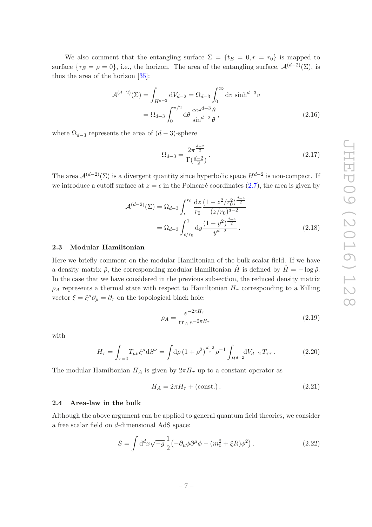We also comment that the entangling surface  $\Sigma = \{t_E = 0, r = r_0\}$  is mapped to surface  $\{\tau_E = \rho = 0\}$ , i.e., the horizon. The area of the entangling surface,  $\mathcal{A}^{(d-2)}(\Sigma)$ , is thus the area of the horizon [\[35\]](#page-21-10):

$$
\mathcal{A}^{(d-2)}(\Sigma) = \int_{H^{d-2}} dV_{d-2} = \Omega_{d-3} \int_0^\infty dv \sinh^{d-3}v
$$
  
=  $\Omega_{d-3} \int_0^{\pi/2} d\theta \frac{\cos^{d-3}\theta}{\sin^{d-2}\theta}$ , (2.16)

where  $\Omega_{d-3}$  represents the area of  $(d-3)$ -sphere

<span id="page-7-3"></span><span id="page-7-2"></span>
$$
\Omega_{d-3} = \frac{2\pi^{\frac{d-2}{2}}}{\Gamma(\frac{d-2}{2})} \,. \tag{2.17}
$$

The area  $\mathcal{A}^{(d-2)}(\Sigma)$  is a divergent quantity since hyperbolic space  $H^{d-2}$  is non-compact. If we introduce a cutoff surface at  $z = \epsilon$  in the Poincaré coordinates [\(2.7\)](#page-5-3), the area is given by

$$
\mathcal{A}^{(d-2)}(\Sigma) = \Omega_{d-3} \int_{\epsilon}^{r_0} \frac{dz}{r_0} \frac{(1 - z^2/r_0^2)^{\frac{d-4}{2}}}{(z/r_0)^{d-2}} \n= \Omega_{d-3} \int_{\epsilon/r_0}^{1} dy \frac{(1 - y^2)^{\frac{d-4}{2}}}{y^{d-2}}.
$$
\n(2.18)

#### <span id="page-7-0"></span>2.3 Modular Hamiltonian

Here we briefly comment on the modular Hamiltonian of the bulk scalar field. If we have a density matrix  $\hat{\rho}$ , the corresponding modular Hamiltonian  $\hat{H}$  is defined by  $\hat{H} = -\log \hat{\rho}$ . In the case that we have considered in the previous subsection, the reduced density matrix  $\rho_A$  represents a thermal state with respect to Hamiltonian  $H_\tau$  corresponding to a Killing vector  $\xi = \xi^{\mu} \partial_{\mu} = \partial_{\tau}$  on the topological black hole:

$$
\rho_A = \frac{e^{-2\pi H_\tau}}{\text{tr}_A e^{-2\pi H_\tau}}\tag{2.19}
$$

with

$$
H_{\tau} = \int_{\tau=0} T_{\mu\nu} \xi^{\mu} dS^{\nu} = \int d\rho \left(1 + \rho^2\right)^{\frac{d-3}{2}} \rho^{-1} \int_{H^{d-2}} dV_{d-2} T_{\tau\tau} \,. \tag{2.20}
$$

The modular Hamiltonian  $H_A$  is given by  $2\pi H_\tau$  up to a constant operator as

$$
H_A = 2\pi H_\tau + \text{(const.)} \tag{2.21}
$$

### <span id="page-7-1"></span>2.4 Area-law in the bulk

Although the above argument can be applied to general quantum field theories, we consider a free scalar field on d-dimensional AdS space:

$$
S = \int d^d x \sqrt{-g} \frac{1}{2} \left( -\partial_\mu \phi \partial^\mu \phi - (m_0^2 + \xi R) \phi^2 \right).
$$
 (2.22)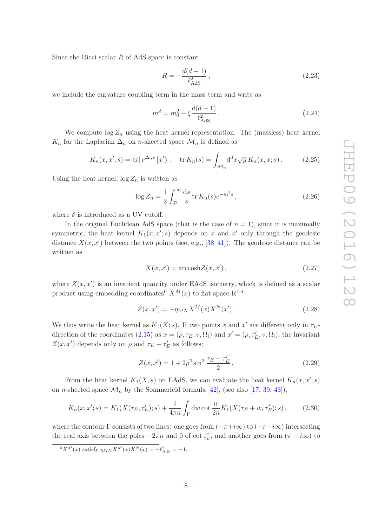Since the Ricci scalar  $R$  of AdS space is constant

<span id="page-8-2"></span>
$$
R = -\frac{d(d-1)}{\ell_{\text{AdS}}^2},\tag{2.23}
$$

we include the curvature coupling term in the mass term and write as

$$
m^2 = m_0^2 - \xi \frac{d(d-1)}{\ell_{\text{AdS}}^2}.
$$
\n(2.24)

We compute  $\log Z_n$  using the heat kernel representation. The (massless) heat kernel  $K_n$  for the Laplacian  $\Delta_n$  on *n*-sheeted space  $\mathcal{M}_n$  is defined as

$$
K_n(x, x'; s) = \langle x | e^{\Delta_n s} | x' \rangle , \quad \text{tr } K_n(s) = \int_{\mathcal{M}_n} d^d x \sqrt{g} K_n(x, x; s) . \tag{2.25}
$$

Using the heat kernel,  $\log Z_n$  is written as

$$
\log Z_n = \frac{1}{2} \int_{\delta^2}^{\infty} \frac{ds}{s} \, \text{tr} \, K_n(s) e^{-m^2 s} \,, \tag{2.26}
$$

where  $\delta$  is introduced as a UV cutoff.

In the original Euclidean AdS space (that is the case of  $n = 1$ ), since it is maximally symmetric, the heat kernel  $K_1(x, x'; s)$  depends on x and x' only through the geodesic distance  $X(x, x')$  between the two points (see, e.g., [\[38](#page-21-15)[–41\]](#page-21-16)). The geodesic distance can be written as

$$
X(x, x') = \operatorname{arccosh} Z(x, x'), \qquad (2.27)
$$

where  $Z(x, x')$  is an invariant quantity under EAdS isometry, which is defined as a scalar product using embedding coordinates  $X^M(x)$  to flat space  $\mathbb{R}^{1,d}$ 

$$
Z(x, x') = -\eta_{MN} X^M(x) X^N(x').
$$
\n(2.28)

We thus write the heat kernel as  $K_1(X; s)$ . If two points x and x' are different only in  $\tau_E$ . direction of the coordinates [\(2.15\)](#page-6-2) as  $x = (\rho, \tau_E, v, \Omega_i)$  and  $x' = (\rho, \tau'_E, v, \Omega_i)$ , the invariant  $Z(x, x')$  depends only on  $\rho$  and  $\tau_E - \tau'_E$  as follows:

<span id="page-8-1"></span>
$$
Z(x, x') = 1 + 2\rho^2 \sin^2 \frac{\tau_E - \tau_E'}{2}.
$$
 (2.29)

From the heat kernel  $K_1(X, s)$  on EAdS, we can evaluate the heat kernel  $K_n(x, x'; s)$ on *n*-sheeted space  $\mathcal{M}_n$  by the Sommerfeld formula [\[42\]](#page-22-0), (see also [\[17](#page-20-8), [39,](#page-21-17) [43](#page-22-1)]),

$$
K_n(x, x'; s) = K_1(X(\tau_E, \tau'_E); s) + \frac{i}{4\pi n} \int_{\Gamma} dw \cot \frac{w}{2n} K_1(X(\tau_E + w, \tau'_E); s), \quad (2.30)
$$

where the contour Γ consists of two lines: one goes from  $(-\pi+i\infty)$  to  $(-\pi-i\infty)$  intersecting the real axis between the poles  $-2\pi n$  and 0 of cot  $\frac{w}{2n}$ , and another goes from  $(\pi - i\infty)$  to

<span id="page-8-0"></span> ${}^{6}X^{M}(x)$  satisfy  $\eta_{MN}X^{M}(x)X^{N}(x) = -\ell_{\text{AdS}}^{2} = -1.$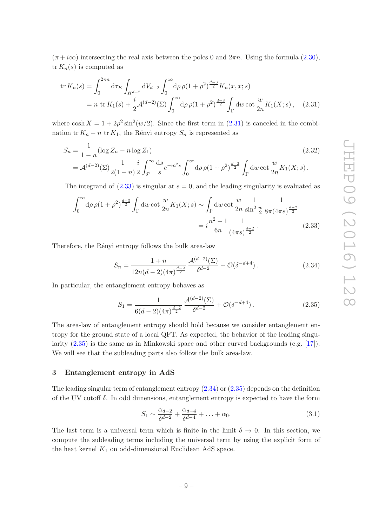$(\pi + i\infty)$  intersecting the real axis between the poles 0 and  $2\pi n$ . Using the formula [\(2.30\)](#page-8-1),  $tr K_n(s)$  is computed as

<span id="page-9-1"></span>
$$
\text{tr}\,K_n(s) = \int_0^{2\pi n} d\tau_E \int_{H^{d-2}} dV_{d-2} \int_0^{\infty} d\rho \,\rho (1+\rho^2)^{\frac{d-3}{2}} K_n(x,x;s)
$$
  
= n \text{ tr}\,K\_1(s) + \frac{i}{2} \mathcal{A}^{(d-2)}(\Sigma) \int\_0^{\infty} d\rho \,\rho (1+\rho^2)^{\frac{d-3}{2}} \int\_{\Gamma} dw \cot \frac{w}{2n} K\_1(X;s), \quad (2.31)

where  $\cosh X = 1 + 2\rho^2 \sin^2(\frac{w}{2})$ . Since the first term in [\(2.31\)](#page-9-1) is canceled in the combination tr  $K_n - n$  tr  $K_1$ , the Rényi entropy  $S_n$  is represented as

$$
S_n = \frac{1}{1-n} (\log Z_n - n \log Z_1)
$$
  
=  $\mathcal{A}^{(d-2)}(\Sigma) \frac{1}{2(1-n)} \frac{i}{2} \int_{\delta^2}^{\infty} \frac{ds}{s} e^{-m^2 s} \int_0^{\infty} d\rho \rho (1+\rho^2)^{\frac{d-3}{2}} \int_{\Gamma} dw \cot \frac{w}{2n} K_1(X; s).$  (2.32)

The integrand of  $(2.33)$  is singular at  $s = 0$ , and the leading singularity is evaluated as

$$
\int_0^\infty d\rho \rho (1+\rho^2)^{\frac{d-3}{2}} \int_{\Gamma} dw \cot \frac{w}{2n} K_1(X; s) \sim \int_{\Gamma} dw \cot \frac{w}{2n} \frac{1}{\sin^2 \frac{w}{2}} \frac{1}{8\pi (4\pi s)^{\frac{d-2}{2}}} \n= i \frac{n^2 - 1}{6n} \frac{1}{(4\pi s)^{\frac{d-2}{2}}}.
$$
\n(2.33)

Therefore, the Rényi entropy follows the bulk area-law

<span id="page-9-2"></span>
$$
S_n = \frac{1+n}{12n(d-2)(4\pi)^{\frac{d-2}{2}}} \frac{\mathcal{A}^{(d-2)}(\Sigma)}{\delta^{d-2}} + \mathcal{O}(\delta^{-d+4}).
$$
\n(2.34)

In particular, the entanglement entropy behaves as

<span id="page-9-4"></span><span id="page-9-3"></span>
$$
S_1 = \frac{1}{6(d-2)(4\pi)^{\frac{d-2}{2}}} \frac{\mathcal{A}^{(d-2)}(\Sigma)}{\delta^{d-2}} + \mathcal{O}(\delta^{-d+4}).
$$
 (2.35)

The area-law of entanglement entropy should hold because we consider entanglement entropy for the ground state of a local QFT. As expected, the behavior of the leading singularity [\(2.35\)](#page-9-3) is the same as in Minkowski space and other curved backgrounds (e.g. [\[17\]](#page-20-8)). We will see that the subleading parts also follow the bulk area-law.

# <span id="page-9-0"></span>3 Entanglement entropy in AdS

The leading singular term of entanglement entropy  $(2.34)$  or  $(2.35)$  depends on the definition of the UV cutoff  $\delta$ . In odd dimensions, entanglement entropy is expected to have the form

$$
S_1 \sim \frac{\alpha_{d-2}}{\delta^{d-2}} + \frac{\alpha_{d-4}}{\delta^{d-4}} + \ldots + \alpha_0. \tag{3.1}
$$

The last term is a universal term which is finite in the limit  $\delta \to 0$ . In this section, we compute the subleading terms including the universal term by using the explicit form of the heat kernel  $K_1$  on odd-dimensional Euclidean AdS space.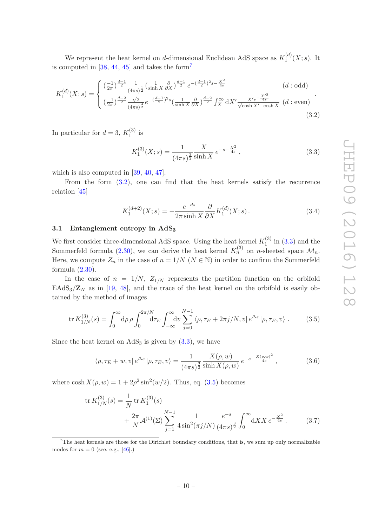We represent the heat kernel on d-dimensional Euclidean AdS space as  $K_1^{(d)}$  $I_1^{(u)}(X; s)$ . It is computed in  $[38, 44, 45]$  $[38, 44, 45]$  $[38, 44, 45]$  $[38, 44, 45]$  $[38, 44, 45]$  and takes the form<sup>[7](#page-10-1)</sup>

$$
K_1^{(d)}(X; s) = \begin{cases} \left(\frac{-1}{2\pi}\right)^{\frac{d-1}{2}} \frac{1}{(4\pi s)^{\frac{1}{2}}} \left(\frac{1}{\sinh X} \frac{\partial}{\partial X}\right)^{\frac{d-1}{2}} e^{-\left(\frac{d-1}{2}\right)^2 s - \frac{X^2}{4s}} & (d: \text{odd})\\ \left(\frac{-1}{2\pi}\right)^{\frac{d-2}{2}} \frac{\sqrt{2}}{(4\pi s)^{\frac{3}{2}}} e^{-\left(\frac{d-1}{2}\right)^2 s} \left(\frac{1}{\sinh X} \frac{\partial}{\partial X}\right)^{\frac{d-2}{2}} \int_X^{\infty} dX' \frac{X' e^{-\frac{X'^2}{4s}}}{\sqrt{\cosh X' - \cosh X}} & (d: \text{even}) \end{cases} \tag{3.2}
$$

In particular for  $d=3, K_1^{(3)}$  $i^{(0)}$  is

<span id="page-10-3"></span><span id="page-10-2"></span>
$$
K_1^{(3)}(X; s) = \frac{1}{(4\pi s)^{\frac{3}{2}}} \frac{X}{\sinh X} e^{-s - \frac{X^2}{4s}}, \qquad (3.3)
$$

which is also computed in [\[39](#page-21-17), [40,](#page-21-18) [47\]](#page-22-4).

From the form [\(3.2\)](#page-10-2), one can find that the heat kernels satisfy the recurrence relation [\[45](#page-22-3)]

<span id="page-10-5"></span><span id="page-10-4"></span>
$$
K_1^{(d+2)}(X;s) = -\frac{e^{-ds}}{2\pi \sinh X} \frac{\partial}{\partial X} K_1^{(d)}(X;s) \,. \tag{3.4}
$$

## <span id="page-10-0"></span>3.1 Entanglement entropy in AdS3

We first consider three-dimensional AdS space. Using the heat kernel  $K_1^{(3)}$  $j_1^{(3)}$  in  $(3.3)$  and the Sommerfeld formula [\(2.30\)](#page-8-1), we can derive the heat kernel  $K_n^{(3)}$  on *n*-sheeted space  $\mathcal{M}_n$ . Here, we compute  $Z_n$  in the case of  $n = 1/N$  ( $N \in \mathbb{N}$ ) in order to confirm the Sommerfeld formula  $(2.30)$ .

In the case of  $n = 1/N$ ,  $Z_{1/N}$  represents the partition function on the orbifold  $EAdS_3/\mathbf{Z}_N$  as in [\[19,](#page-20-10) [48\]](#page-22-5), and the trace of the heat kernel on the orbifold is easily obtained by the method of images

$$
\text{tr}\, K_{1/N}^{(3)}(s) = \int_0^\infty d\rho \, \rho \int_0^{2\pi/N} d\tau_E \int_{-\infty}^\infty d\tau \sum_{j=0}^{N-1} \langle \rho, \tau_E + 2\pi j/N, v \vert \, e^{\Delta s} \, \vert \rho, \tau_E, v \rangle \,. \tag{3.5}
$$

Since the heat kernel on  $AdS_3$  is given by  $(3.3)$ , we have

$$
\langle \rho, \tau_E + w, v | e^{\Delta s} | \rho, \tau_E, v \rangle = \frac{1}{(4\pi s)^{\frac{3}{2}}} \frac{X(\rho, w)}{\sinh X(\rho, w)} e^{-s - \frac{X(\rho, w)^2}{4s}}, \qquad (3.6)
$$

where  $\cosh X(\rho, w) = 1 + 2\rho^2 \sin^2(w/2)$ . Thus, eq. [\(3.5\)](#page-10-4) becomes

$$
\text{tr}\,K_{1/N}^{(3)}(s) = \frac{1}{N}\,\text{tr}\,K_1^{(3)}(s) \n+ \frac{2\pi}{N}\mathcal{A}^{(1)}(\Sigma)\sum_{j=1}^{N-1} \frac{1}{4\sin^2(\pi j/N)}\frac{e^{-s}}{(4\pi s)^{\frac{3}{2}}}\int_0^\infty \mathrm{d}X X \, e^{-\frac{X^2}{4s}}. \tag{3.7}
$$

<span id="page-10-1"></span><sup>7</sup>The heat kernels are those for the Dirichlet boundary conditions, that is, we sum up only normalizable modes for  $m = 0$  (see, e.g., [\[46](#page-22-6)].)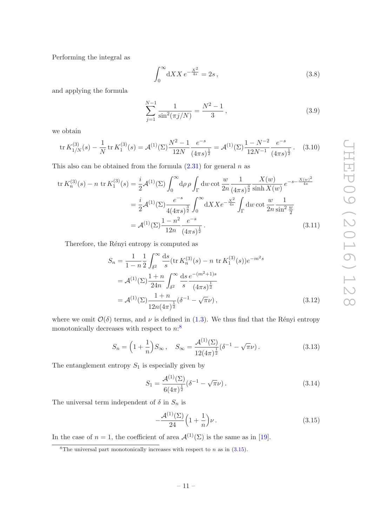Performing the integral as

$$
\int_0^\infty dX X \, e^{-\frac{X^2}{4s}} = 2s \,,\tag{3.8}
$$

and applying the formula

$$
\sum_{j=1}^{N-1} \frac{1}{\sin^2(\pi j/N)} = \frac{N^2 - 1}{3},\tag{3.9}
$$

we obtain

$$
\text{tr}\,K_{1/N}^{(3)}(s) - \frac{1}{N}\,\text{tr}\,K_1^{(3)}(s) = \mathcal{A}^{(1)}(\Sigma)\frac{N^2 - 1}{12N}\frac{e^{-s}}{(4\pi s)^{\frac{1}{2}}} = \mathcal{A}^{(1)}(\Sigma)\frac{1 - N^{-2}}{12N^{-1}}\frac{e^{-s}}{(4\pi s)^{\frac{1}{2}}}.
$$
 (3.10)

This also can be obtained from the formula  $(2.31)$  for general n as

$$
\text{tr}\,K_n^{(3)}(s) - n\,\,\text{tr}\,K_1^{(3)}(s) = \frac{i}{2}\mathcal{A}^{(1)}(\Sigma)\int_0^\infty d\rho \,\rho \int_\Gamma \text{d}w \cot\frac{w}{2n} \frac{1}{(4\pi s)^{\frac{3}{2}}} \frac{X(w)}{\sinh X(w)}\,e^{-s - \frac{X(w)^2}{4s}} \\
= \frac{i}{2}\mathcal{A}^{(1)}(\Sigma)\frac{e^{-s}}{4(4\pi s)^{\frac{3}{2}}} \int_0^\infty dX \,X \,e^{-\frac{X^2}{4s}} \int_\Gamma \text{d}w \cot\frac{w}{2n} \frac{1}{\sin^2\frac{w}{2}} \\
= \mathcal{A}^{(1)}(\Sigma)\frac{1 - n^2}{12n} \frac{e^{-s}}{(4\pi s)^{\frac{1}{2}}} \,.
$$
\n(3.11)

Therefore, the Rényi entropy is computed as

$$
S_n = \frac{1}{1-n} \frac{1}{2} \int_{\delta^2}^{\infty} \frac{ds}{s} (\text{tr} K_n^{(3)}(s) - n \text{ tr} K_1^{(3)}(s)) e^{-m^2 s}
$$
  
=  $\mathcal{A}^{(1)}(\Sigma) \frac{1+n}{24n} \int_{\delta^2}^{\infty} \frac{ds}{s} \frac{e^{-(m^2+1)s}}{(4\pi s)^{\frac{1}{2}}}$   
=  $\mathcal{A}^{(1)}(\Sigma) \frac{1+n}{12n(4\pi)^{\frac{1}{2}}} (\delta^{-1} - \sqrt{\pi}\nu),$  (3.12)

where we omit  $\mathcal{O}(\delta)$  terms, and  $\nu$  is defined in [\(1.3\)](#page-3-3). We thus find that the Rényi entropy monotonically decreases with respect to  $n$ <sup>[8](#page-11-0)</sup>

$$
S_n = \left(1 + \frac{1}{n}\right)S_\infty, \quad S_\infty = \frac{\mathcal{A}^{(1)}(\Sigma)}{12(4\pi)^{\frac{1}{2}}}(\delta^{-1} - \sqrt{\pi}\nu). \tag{3.13}
$$

The entanglement entropy  $S_1$  is especially given by

$$
S_1 = \frac{\mathcal{A}^{(1)}(\Sigma)}{6(4\pi)^{\frac{1}{2}}} (\delta^{-1} - \sqrt{\pi}\nu). \tag{3.14}
$$

The universal term independent of  $\delta$  in  $S_n$  is

<span id="page-11-1"></span>
$$
-\frac{\mathcal{A}^{(1)}(\Sigma)}{24}\left(1+\frac{1}{n}\right)\nu.
$$
 (3.15)

In the case of  $n = 1$ , the coefficient of area  $\mathcal{A}^{(1)}(\Sigma)$  is the same as in [\[19](#page-20-10)].

<span id="page-11-0"></span> $\overline{8}$ The universal part monotonically increases with respect to *n* as in [\(3.15\)](#page-11-1).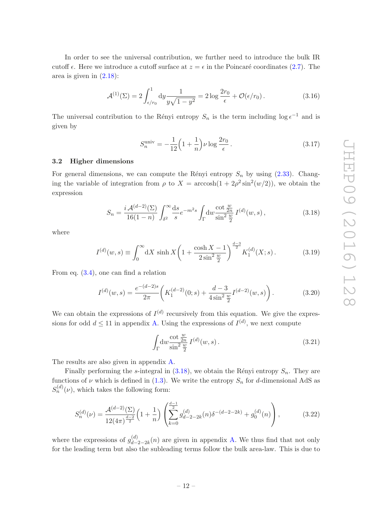In order to see the universal contribution, we further need to introduce the bulk IR cutoff  $\epsilon$ . Here we introduce a cutoff surface at  $z = \epsilon$  in the Poincaré coordinates [\(2.7\)](#page-5-3). The area is given in  $(2.18)$ :

$$
\mathcal{A}^{(1)}(\Sigma) = 2 \int_{\epsilon/r_0}^{1} dy \frac{1}{y\sqrt{1-y^2}} = 2 \log \frac{2r_0}{\epsilon} + \mathcal{O}(\epsilon/r_0).
$$
 (3.16)

The universal contribution to the Rényi entropy  $S_n$  is the term including  $\log \epsilon^{-1}$  and is given by

<span id="page-12-1"></span>
$$
S_n^{\text{univ}} = -\frac{1}{12} \left( 1 + \frac{1}{n} \right) \nu \log \frac{2r_0}{\epsilon} \,. \tag{3.17}
$$

## <span id="page-12-0"></span>3.2 Higher dimensions

For general dimensions, we can compute the Rényi entropy  $S_n$  by using [\(2.33\)](#page-9-2). Changing the variable of integration from  $\rho$  to  $X = \arccosh(1 + 2\rho^2 \sin^2(\omega/2))$ , we obtain the expression

$$
S_n = \frac{i \mathcal{A}^{(d-2)}(\Sigma)}{16(1-n)} \int_{\delta^2}^{\infty} \frac{ds}{s} e^{-m^2 s} \int_{\Gamma} dw \frac{\cot \frac{w}{2n}}{\sin^2 \frac{w}{2}} I^{(d)}(w, s) , \qquad (3.18)
$$

where

$$
I^{(d)}(w,s) \equiv \int_0^\infty dX \sinh X \left( 1 + \frac{\cosh X - 1}{2\sin^2 \frac{w}{2}} \right)^{\frac{d-3}{2}} K_1^{(d)}(X;s).
$$
 (3.19)

From eq. [\(3.4\)](#page-10-5), one can find a relation

$$
I^{(d)}(w,s) = \frac{e^{-(d-2)s}}{2\pi} \left( K_1^{(d-2)}(0;s) + \frac{d-3}{4\sin^2\frac{w}{2}} I^{(d-2)}(w,s) \right).
$$
 (3.20)

We can obtain the expressions of  $I<sup>(d)</sup>$  recursively from this equation. We give the expressions for odd  $d \leq 11$  in appendix [A.](#page-18-0) Using the expressions of  $I^{(d)}$ , we next compute

<span id="page-12-3"></span><span id="page-12-2"></span>
$$
\int_{\Gamma} \mathrm{d}w \frac{\cot \frac{w}{2n}}{\sin^2 \frac{w}{2}} I^{(d)}(w, s). \tag{3.21}
$$

The results are also given in appendix [A.](#page-18-0)

Finally performing the s-integral in  $(3.18)$ , we obtain the Rényi entropy  $S_n$ . They are functions of  $\nu$  which is defined in [\(1.3\)](#page-3-3). We write the entropy  $S_n$  for d-dimensional AdS as  $S_n^{(d)}(\nu)$ , which takes the following form:

$$
S_n^{(d)}(\nu) = \frac{\mathcal{A}^{(d-2)}(\Sigma)}{12(4\pi)^{\frac{d-2}{2}}} \left(1 + \frac{1}{n}\right) \left(\sum_{k=0}^{\frac{d-1}{2}} g_{d-2-2k}^{(d)}(n) \delta^{-(d-2-2k)} + g_0^{(d)}(n)\right),\tag{3.22}
$$

where the expressions of  $g_{d-}^{(d)}$  $\frac{d^{(a)}}{d-2-2k}(n)$  are given in appendix [A.](#page-18-0) We thus find that not only for the leading term but also the subleading terms follow the bulk area-law. This is due to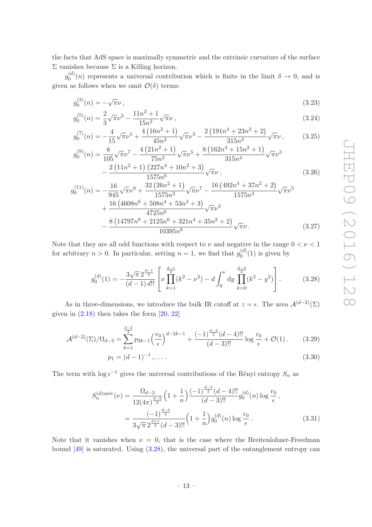the facts that AdS space is maximally symmetric and the extrinsic curvature of the surface Σ vanishes because Σ is a Killing horizon.

 $g_0^{(d)}$  $0^{(a)}(n)$  represents a universal contribution which is finite in the limit  $\delta \to 0$ , and is given as follows when we omit  $\mathcal{O}(\delta)$  terms:

<span id="page-13-2"></span>
$$
g_0^{(3)}(n) = -\sqrt{\pi}\nu\,,\tag{3.23}
$$

$$
g_0^{(5)}(n) = \frac{2}{3}\sqrt{\pi}\nu^3 - \frac{11n^2 + 1}{15n^2}\sqrt{\pi}\nu\,,\tag{3.24}
$$

$$
g_0^{(7)}(n) = -\frac{4}{15}\sqrt{\pi}\nu^5 + \frac{4\left(16n^2+1\right)}{45n^2}\sqrt{\pi}\nu^3 - \frac{2\left(191n^4+23n^2+2\right)}{315n^4}\sqrt{\pi}\nu\,,\tag{3.25}
$$

$$
g_0^{(9)}(n) = \frac{8}{105}\sqrt{\pi\nu^7} - \frac{4\left(21n^2 + 1\right)}{75n^2}\sqrt{\pi\nu^5} + \frac{8\left(162n^4 + 15n^2 + 1\right)}{315n^4}\sqrt{\pi\nu^3} - \frac{2\left(11n^2 + 1\right)\left(227n^4 + 10n^2 + 3\right)}{1575n^6}\sqrt{\pi\nu},
$$
\n(3.26)

$$
g_0^{(11)}(n) = -\frac{16}{945}\sqrt{\pi}\nu^9 + \frac{32(26n^2+1)}{1575n^2}\sqrt{\pi}\nu^7 - \frac{16(492n^4+37n^2+2)}{1575n^4}\sqrt{\pi}\nu^5 + \frac{16(4608n^6+508n^4+53n^2+3)}{4725n^6}\sqrt{\pi}\nu^3 - \frac{8(14797n^8+2125n^6+321n^4+35n^2+2)}{10395n^8}\sqrt{\pi}\nu.
$$
 (3.27)

Note that they are all odd functions with respect to  $\nu$  and negative in the range  $0 < \nu < 1$ for arbitrary  $n > 0$ . In particular, setting  $n = 1$ , we find that  $g_0^{(d)}$  $\binom{u}{0}(1)$  is given by

<span id="page-13-3"></span><span id="page-13-0"></span>
$$
g_0^{(d)}(1) = -\frac{3\sqrt{\pi} \, 2^{\frac{d-1}{2}}}{(d-1) \, d!!} \left[ \nu \prod_{k=1}^{\frac{d-1}{2}} (k^2 - \nu^2) - d \int_0^{\nu} dy \prod_{k=0}^{\frac{d-3}{2}} (k^2 - y^2) \right]. \tag{3.28}
$$

As in three-dimensions, we introduce the bulk IR cutoff at  $z = \epsilon$ . The area  $\mathcal{A}^{(d-2)}(\Sigma)$ given in  $(2.18)$  then takes the form  $[20, 22]$  $[20, 22]$ 

$$
\mathcal{A}^{(d-2)}(\Sigma)/\Omega_{d-3} = \sum_{k=1}^{\frac{d-3}{2}} p_{2k-1} \left(\frac{r_0}{\epsilon}\right)^{d-2k-1} + \frac{(-1)^{\frac{d-3}{2}}(d-4)!!}{(d-3)!!} \log \frac{r_0}{\epsilon} + \mathcal{O}(1).
$$
 (3.29)

<span id="page-13-1"></span>
$$
p_1 = (d-1)^{-1}, \dots \tag{3.30}
$$

The term with  $\log \epsilon^{-1}$  gives the universal contributions of the Rényi entropy  $S_n$  as

$$
S_n^{(d) \text{univ}}(\nu) = \frac{\Omega_{d-3}}{12(4\pi)^{\frac{d-3}{2}}} \left(1 + \frac{1}{n}\right) \frac{(-1)^{\frac{d-3}{2}}(d-4)!!}{(d-3)!!} g_0^{(d)}(n) \log \frac{r_0}{\epsilon},
$$
  
= 
$$
\frac{(-1)^{\frac{d-3}{2}}}{3\sqrt{\pi} 2^{\frac{d+1}{2}}(d-3)!!} \left(1 + \frac{1}{n}\right) g_0^{(d)}(n) \log \frac{r_0}{\epsilon}.
$$
 (3.31)

Note that it vanishes when  $\nu = 0$ , that is the case where the Breitenlohner-Freedman bound [\[49](#page-22-7)] is saturated. Using [\(3.28\)](#page-13-0), the universal part of the entanglement entropy can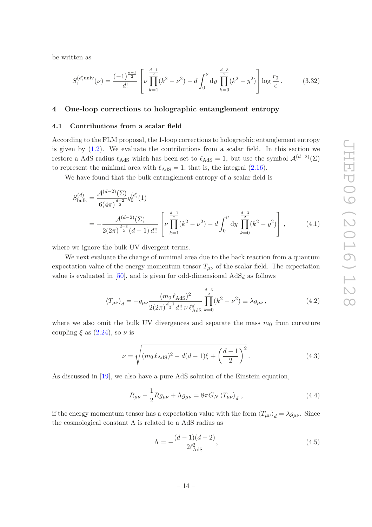be written as

$$
S_1^{(d) \text{univ}}(\nu) = \frac{(-1)^{\frac{d-1}{2}}}{d!} \left[ \nu \prod_{k=1}^{\frac{d-1}{2}} (k^2 - \nu^2) - d \int_0^{\nu} dy \prod_{k=0}^{\frac{d-3}{2}} (k^2 - y^2) \right] \log \frac{r_0}{\epsilon}.
$$
 (3.32)

## <span id="page-14-1"></span><span id="page-14-0"></span>4 One-loop corrections to holographic entanglement entropy

#### 4.1 Contributions from a scalar field

According to the FLM proposal, the 1-loop corrections to holographic entanglement entropy is given by  $(1.2)$ . We evaluate the contributions from a scalar field. In this section we restore a AdS radius  $\ell_{\text{AdS}}$  which has been set to  $\ell_{\text{AdS}} = 1$ , but use the symbol  $\mathcal{A}^{(d-2)}(\Sigma)$ to represent the minimal area with  $\ell_{\text{AdS}} = 1$ , that is, the integral [\(2.16\)](#page-7-3).

We have found that the bulk entanglement entropy of a scalar field is

$$
S_{\text{bulk}}^{(d)} = \frac{\mathcal{A}^{(d-2)}(\Sigma)}{6(4\pi)^{\frac{d-2}{2}}} g_0^{(d)}(1)
$$
  
= 
$$
-\frac{\mathcal{A}^{(d-2)}(\Sigma)}{2(2\pi)^{\frac{d-3}{2}}(d-1) d!} \left[ \nu \prod_{k=1}^{\frac{d-1}{2}} (k^2 - \nu^2) - d \int_0^{\nu} dy \prod_{k=0}^{\frac{d-3}{2}} (k^2 - y^2) \right],
$$
 (4.1)

where we ignore the bulk UV divergent terms.

We next evaluate the change of minimal area due to the back reaction from a quantum expectation value of the energy momentum tensor  $T_{\mu\nu}$  of the scalar field. The expectation value is evaluated in [\[50\]](#page-22-8), and is given for odd-dimensional  $AdS_d$  as follows

<span id="page-14-3"></span>
$$
\langle T_{\mu\nu} \rangle_d = -g_{\mu\nu} \frac{(m_0 \ell_{\text{AdS}})^2}{2(2\pi)^{\frac{d-1}{2}} d!! \nu \ell_{\text{AdS}}^d} \prod_{k=0}^{\frac{d-3}{2}} (k^2 - \nu^2) \equiv \lambda g_{\mu\nu} \,, \tag{4.2}
$$

where we also omit the bulk UV divergences and separate the mass  $m_0$  from curvature coupling  $\xi$  as  $(2.24)$ , so  $\nu$  is

<span id="page-14-2"></span>
$$
\nu = \sqrt{(m_0 \ell_{\text{AdS}})^2 - d(d-1)\xi + \left(\frac{d-1}{2}\right)^2}.
$$
\n(4.3)

As discussed in [\[19\]](#page-20-10), we also have a pure AdS solution of the Einstein equation,

$$
R_{\mu\nu} - \frac{1}{2} R g_{\mu\nu} + \Lambda g_{\mu\nu} = 8\pi G_N \left\langle T_{\mu\nu} \right\rangle_d , \qquad (4.4)
$$

if the energy momentum tensor has a expectation value with the form  $\langle T_{\mu\nu} \rangle_d = \lambda g_{\mu\nu}$ . Since the cosmological constant  $\Lambda$  is related to a AdS radius as

$$
\Lambda = -\frac{(d-1)(d-2)}{2\ell_{\text{AdS}}^2},\tag{4.5}
$$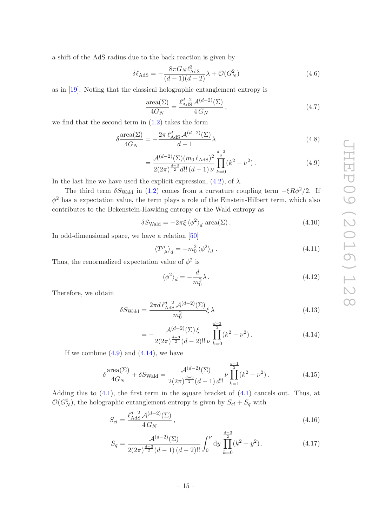a shift of the AdS radius due to the back reaction is given by

$$
\delta \ell_{\rm AdS} = -\frac{8\pi G_N \ell_{\rm AdS}^3}{(d-1)(d-2)} \lambda + \mathcal{O}(G_N^2)
$$
\n(4.6)

as in [\[19](#page-20-10)]. Noting that the classical holographic entanglement entropy is

$$
\frac{\text{area}(\Sigma)}{4G_N} = \frac{\ell_{\text{AdS}}^{d-2} \mathcal{A}^{(d-2)}(\Sigma)}{4 \, G_N} \,, \tag{4.7}
$$

we find that the second term in  $(1.2)$  takes the form

$$
\delta \frac{\text{area}(\Sigma)}{4G_N} = -\frac{2\pi \ell_{\text{AdS}}^d \mathcal{A}^{(d-2)}(\Sigma)}{d-1} \lambda \tag{4.8}
$$

<span id="page-15-0"></span>
$$
= \frac{\mathcal{A}^{(d-2)}(\Sigma)(m_0 \ell_{\text{AdS}})^2}{2(2\pi)^{\frac{d-3}{2}} d!! (d-1) \nu} \prod_{k=0}^{\frac{d-3}{2}} (k^2 - \nu^2).
$$
 (4.9)

In the last line we have used the explicit expression,  $(4.2)$ , of  $\lambda$ .

The third term  $\delta S_{\text{Wald}}$  in [\(1.2\)](#page-2-4) comes from a curvature coupling term  $-\xi R\phi^2/2$ . If  $\phi^2$  has a expectation value, the term plays a role of the Einstein-Hilbert term, which also contributes to the Bekenstein-Hawking entropy or the Wald entropy as

$$
\delta S_{\text{Wald}} = -2\pi \xi \langle \phi^2 \rangle_d \text{ area}(\Sigma). \tag{4.10}
$$

In odd-dimensional space, we have a relation [\[50](#page-22-8)]

$$
\langle T^{\mu}_{\ \mu} \rangle_{d} = -m_0^2 \langle \phi^2 \rangle_{d} \ . \tag{4.11}
$$

Thus, the renormalized expectation value of  $\phi^2$  is

<span id="page-15-1"></span>
$$
\langle \phi^2 \rangle_d = -\frac{d}{m_0^2} \lambda \,. \tag{4.12}
$$

Therefore, we obtain

$$
\delta S_{\text{Wald}} = \frac{2\pi d \,\ell_{\text{AdS}}^{d-2} \,\mathcal{A}^{(d-2)}(\Sigma)}{m_0^2} \xi \,\lambda \tag{4.13}
$$

<span id="page-15-3"></span>
$$
= -\frac{\mathcal{A}^{(d-2)}(\Sigma)\xi}{2(2\pi)^{\frac{d-3}{2}}(d-2)!!\,\nu} \prod_{k=0}^{\frac{d-3}{2}}(k^2 - \nu^2). \tag{4.14}
$$

If we combine  $(4.9)$  and  $(4.14)$ , we have

$$
\delta \frac{\text{area}(\Sigma)}{4G_N} + \delta S_{\text{Wald}} = \frac{\mathcal{A}^{(d-2)}(\Sigma)}{2(2\pi)^{\frac{d-3}{2}}(d-1) \, d!!} \nu \prod_{k=1}^{\frac{d-1}{2}} (k^2 - \nu^2). \tag{4.15}
$$

Adding this to  $(4.1)$ , the first term in the square bracket of  $(4.1)$  cancels out. Thus, at  $\mathcal{O}(G_N^0)$ , the holographic entanglement entropy is given by  $S_{cl} + S_q$  with

$$
S_{cl} = \frac{\ell_{\text{AdS}}^{d-2} \mathcal{A}^{(d-2)}(\Sigma)}{4 \, G_N} \,, \tag{4.16}
$$

<span id="page-15-2"></span>
$$
S_q = \frac{\mathcal{A}^{(d-2)}(\Sigma)}{2(2\pi)^{\frac{d-3}{2}}(d-1)(d-2)!!} \int_0^{\nu} dy \prod_{k=0}^{\frac{d-3}{2}} (k^2 - y^2).
$$
 (4.17)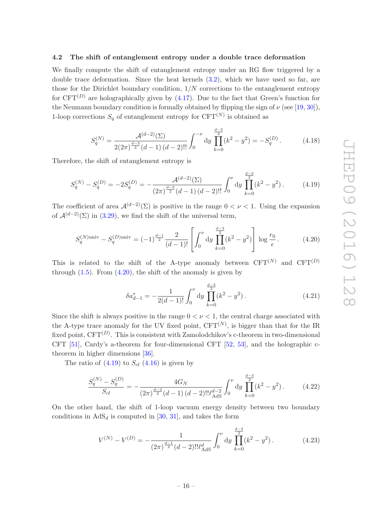## <span id="page-16-0"></span>4.2 The shift of entanglement entropy under a double trace deformation

We finally compute the shift of entanglement entropy under an RG flow triggered by a double trace deformation. Since the heat kernels  $(3.2)$ , which we have used so far, are those for the Dirichlet boundary condition,  $1/N$  corrections to the entanglement entropy for  $CFT^{(D)}$  are holographically given by [\(4.17\)](#page-15-2). Due to the fact that Green's function for the Neumann boundary condition is formally obtained by flipping the sign of  $\nu$  (see [\[19](#page-20-10), [30\]](#page-21-13)), 1-loop corrections  $S_q$  of entanglement entropy for  $CFT^{(N)}$  is obtained as

$$
S_q^{(N)} = \frac{\mathcal{A}^{(d-2)}(\Sigma)}{2(2\pi)^{\frac{d-3}{2}}(d-1)(d-2)!!} \int_0^{-\nu} dy \prod_{k=0}^{\frac{d-3}{2}} (k^2 - y^2) = -S_q^{(D)}.
$$
 (4.18)

Therefore, the shift of entanglement entropy is

$$
S_q^{(N)} - S_q^{(D)} = -2S_q^{(D)} = -\frac{\mathcal{A}^{(d-2)}(\Sigma)}{(2\pi)^{\frac{d-3}{2}}(d-1)(d-2)!!} \int_0^{\nu} dy \prod_{k=0}^{\frac{d-3}{2}} (k^2 - y^2). \tag{4.19}
$$

The coefficient of area  $\mathcal{A}^{(d-2)}(\Sigma)$  is positive in the range  $0 < \nu < 1$ . Using the expansion of  $\mathcal{A}^{(d-2)}(\Sigma)$  in [\(3.29\)](#page-13-1), we find the shift of the universal term,

$$
S_q^{(N)\text{univ}} - S_q^{(D)\text{univ}} = (-1)^{\frac{d-1}{2}} \frac{2}{(d-1)!} \left[ \int_0^{\nu} dy \prod_{k=0}^{\frac{d-3}{2}} (k^2 - y^2) \right] \log \frac{r_0}{\epsilon}.
$$
 (4.20)

This is related to the shift of the A-type anomaly between  $CFT^{(N)}$  and  $CFT^{(D)}$ through  $(1.5)$ . From  $(4.20)$ , the shift of the anomaly is given by

<span id="page-16-2"></span><span id="page-16-1"></span>
$$
\delta a_{d-1}^* = -\frac{1}{2(d-1)!} \int_0^{\nu} dy \prod_{k=0}^{\frac{d-3}{2}} (k^2 - y^2).
$$
 (4.21)

Since the shift is always positive in the range  $0 < \nu < 1$ , the central charge associated with the A-type trace anomaly for the UV fixed point,  $CFT^{(N)}$ , is bigger than that for the IR fixed point,  $CFT^{(D)}$ . This is consistent with Zamolodchikov's c-theorem in two-dimensional CFT  $[51]$ , Cardy's a-theorem for four-dimensional CFT  $[52, 53]$  $[52, 53]$ , and the holographic ctheorem in higher dimensions [\[36\]](#page-21-11).

The ratio of  $(4.19)$  to  $S_{cl}$   $(4.16)$  is given by

$$
\frac{S_q^{(N)} - S_q^{(D)}}{S_{cl}} = -\frac{4G_N}{(2\pi)^{\frac{d-3}{2}}(d-1)(d-2)!!\ell_{\text{AdS}}^{d-2}} \int_0^{\nu} dy \prod_{k=0}^{\frac{d-3}{2}} (k^2 - y^2). \tag{4.22}
$$

On the other hand, the shift of 1-loop vacuum energy density between two boundary conditions in  $AdS_d$  is computed in [\[30,](#page-21-13) [31\]](#page-21-6), and takes the form

$$
V^{(N)} - V^{(D)} = -\frac{1}{(2\pi)^{\frac{d-1}{2}}(d-2)!!\ell_{\text{AdS}}^d} \int_0^{\nu} dy \prod_{k=0}^{\frac{d-3}{2}} (k^2 - y^2). \tag{4.23}
$$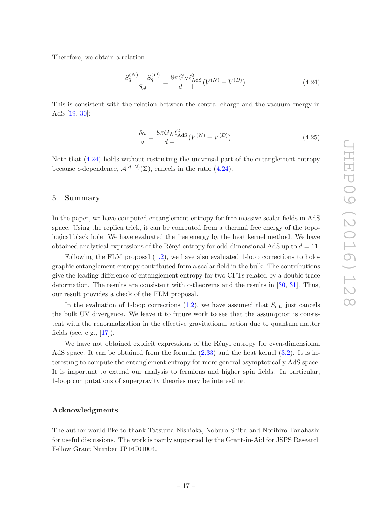Therefore, we obtain a relation

$$
\frac{S_q^{(N)} - S_q^{(D)}}{S_{cl}} = \frac{8\pi G_N \ell_{\text{AdS}}^2}{d - 1} (V^{(N)} - V^{(D)}). \tag{4.24}
$$

This is consistent with the relation between the central charge and the vacuum energy in AdS [\[19](#page-20-10), [30\]](#page-21-13):

<span id="page-17-1"></span>
$$
\frac{\delta a}{a} = \frac{8\pi G_N \ell_{\text{AdS}}^2}{d-1} (V^{(N)} - V^{(D)}).
$$
\n(4.25)

Note that [\(4.24\)](#page-17-1) holds without restricting the universal part of the entanglement entropy because  $\epsilon$ -dependence,  $\mathcal{A}^{(d-2)}(\Sigma)$ , cancels in the ratio [\(4.24\)](#page-17-1).

#### <span id="page-17-0"></span>5 Summary

In the paper, we have computed entanglement entropy for free massive scalar fields in AdS space. Using the replica trick, it can be computed from a thermal free energy of the topological black hole. We have evaluated the free energy by the heat kernel method. We have obtained analytical expressions of the Rényi entropy for odd-dimensional AdS up to  $d = 11$ .

Following the FLM proposal [\(1.2\)](#page-2-4), we have also evaluated 1-loop corrections to holographic entanglement entropy contributed from a scalar field in the bulk. The contributions give the leading difference of entanglement entropy for two CFTs related by a double trace deformation. The results are consistent with c-theorems and the results in [\[30](#page-21-13), [31\]](#page-21-6). Thus, our result provides a check of the FLM proposal.

In the evaluation of 1-loop corrections  $(1.2)$ , we have assumed that  $S_{\rm c,t}$  just cancels the bulk UV divergence. We leave it to future work to see that the assumption is consistent with the renormalization in the effective gravitational action due to quantum matter fields (see, e.g.,  $[17]$ ).

We have not obtained explicit expressions of the Renyi entropy for even-dimensional AdS space. It can be obtained from the formula  $(2.33)$  and the heat kernel  $(3.2)$ . It is interesting to compute the entanglement entropy for more general asymptotically AdS space. It is important to extend our analysis to fermions and higher spin fields. In particular, 1-loop computations of supergravity theories may be interesting.

## Acknowledgments

The author would like to thank Tatsuma Nishioka, Noburo Shiba and Norihiro Tanahashi for useful discussions. The work is partly supported by the Grant-in-Aid for JSPS Research Fellow Grant Number JP16J01004.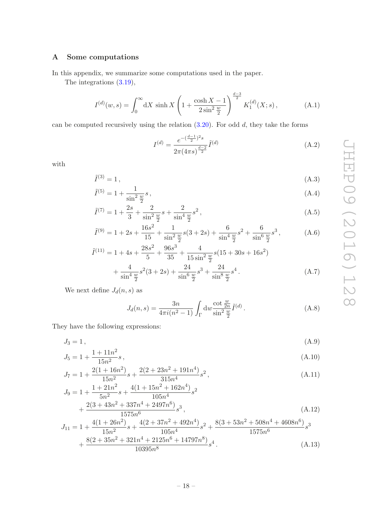# <span id="page-18-0"></span>A Some computations

In this appendix, we summarize some computations used in the paper.

The integrations [\(3.19\)](#page-12-2),

$$
I^{(d)}(w,s) = \int_0^\infty dX \sinh X \left( 1 + \frac{\cosh X - 1}{2\sin^2 \frac{w}{2}} \right)^{\frac{d-3}{2}} K_1^{(d)}(X; s) ,\tag{A.1}
$$

can be computed recursively using the relation  $(3.20)$ . For odd d, they take the forms

$$
I^{(d)} = \frac{e^{-\left(\frac{d-1}{2}\right)^2 s}}{2\pi (4\pi s)^{\frac{d-2}{2}}} \tilde{I}^{(d)}
$$
\n(A.2)

with

$$
\tilde{I}^{(3)} = 1\,,\tag{A.3}
$$

$$
\tilde{I}^{(5)} = 1 + \frac{1}{\sin^2 \frac{w}{2}} s \,,\tag{A.4}
$$

$$
\tilde{I}^{(7)} = 1 + \frac{2s}{3} + \frac{2}{\sin^2 \frac{w}{2}}s + \frac{2}{\sin^4 \frac{w}{2}}s^2,
$$
\n(A.5)

$$
\tilde{I}^{(9)} = 1 + 2s + \frac{16s^2}{15} + \frac{1}{\sin^2 \frac{w}{2}}s(3+2s) + \frac{6}{\sin^4 \frac{w}{2}}s^2 + \frac{6}{\sin^6 \frac{w}{2}}s^3,
$$
\n(A.6)

$$
\tilde{I}^{(11)} = 1 + 4s + \frac{28s^2}{5} + \frac{96s^3}{35} + \frac{4}{15\sin^2\frac{w}{2}}s(15 + 30s + 16s^2) + \frac{4}{\sin^4\frac{w}{2}}s^2(3 + 2s) + \frac{24}{\sin^6\frac{w}{2}}s^3 + \frac{24}{\sin^8\frac{w}{2}}s^4.
$$
\n(A.7)

We next define  $J_d(n, s)$  as

$$
J_d(n,s) = \frac{3n}{4\pi i(n^2 - 1)} \int_{\Gamma} dw \frac{\cot \frac{w}{2n}}{\sin^2 \frac{w}{2}} \tilde{I}^{(d)}.
$$
 (A.8)

They have the following expressions:

$$
J_3 = 1, \tag{A.9}
$$

$$
J_5 = 1 + \frac{1 + 11n^2}{15n^2}s\,,\tag{A.10}
$$

$$
J_7 = 1 + \frac{2(1 + 16n^2)}{15n^2} s + \frac{2(2 + 23n^2 + 191n^4)}{315n^4} s^2,
$$
\n(A.11)

$$
J_9 = 1 + \frac{1 + 21n^2}{5n^2}s + \frac{4(1 + 15n^2 + 162n^4)}{105n^4}s^2 + \frac{2(3 + 43n^2 + 337n^4 + 2497n^6)}{1575n^6}s^3,
$$
 (A.12)

$$
J_{11} = 1 + \frac{4(1 + 26n^2)}{15n^2}s + \frac{4(2 + 37n^2 + 492n^4)}{105n^4}s^2 + \frac{8(3 + 53n^2 + 508n^4 + 4608n^6)}{1575n^6}s^3 + \frac{8(2 + 35n^2 + 321n^4 + 2125n^6 + 14797n^8)}{10395n^8}s^4.
$$
 (A.13)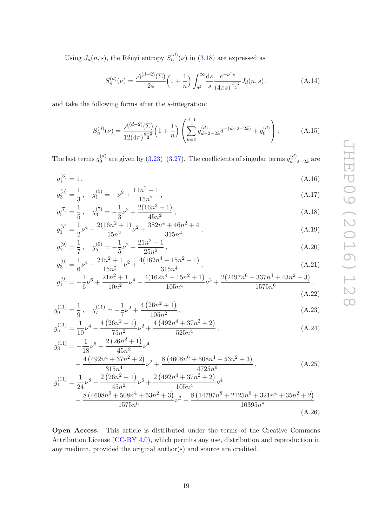Using  $J_d(n, s)$ , the Rényi entropy  $S_n^{(d)}(\nu)$  in [\(3.18\)](#page-12-1) are expressed as

$$
S_n^{(d)}(\nu) = \frac{\mathcal{A}^{(d-2)}(\Sigma)}{24} \left(1 + \frac{1}{n}\right) \int_{\delta^2}^{\infty} \frac{\mathrm{d}s}{s} \frac{e^{-\nu^2 s}}{(4\pi s)^{\frac{d-2}{2}}} J_d(n, s) , \tag{A.14}
$$

and take the following forms after the s-integration:

$$
S_n^{(d)}(\nu) = \frac{\mathcal{A}^{(d-2)}(\Sigma)}{12(4\pi)^{\frac{d-2}{2}}} \left(1 + \frac{1}{n}\right) \left(\sum_{k=0}^{\frac{d-1}{2}} g_{d-2-2k}^{(d)} \delta^{-(d-2-2k)} + g_0^{(d)}\right). \tag{A.15}
$$

The last terms  $g_0^{(d)}$  $\binom{d}{0}$  are given by [\(3.23\)](#page-13-2)–[\(3.27\)](#page-13-3). The coefficients of singular terms  $g_{d-}^{(d)}$  $\frac{d^{(u)}}{d-2-2k}$  are

$$
g_1^{(3)} = 1, \t\t(A.16)
$$

$$
g_3^{(5)} = \frac{1}{3}, \quad g_1^{(5)} = -\nu^2 + \frac{11n^2 + 1}{15n^2}, \tag{A.17}
$$

$$
g_5^{(7)} = \frac{1}{5}, \quad g_3^{(7)} = -\frac{1}{3}\nu^2 + \frac{2(16n^2 + 1)}{45n^2},\tag{A.18}
$$

$$
g_1^{(7)} = \frac{1}{2}\nu^4 - \frac{2(16n^2+1)}{15n^2}\nu^2 + \frac{382n^4+46n^2+4}{315n^4},
$$
\n(A.19)

$$
g_7^{(9)} = \frac{1}{7}, \quad g_5^{(9)} = -\frac{1}{5}\nu^2 + \frac{21n^2 + 1}{25n^2},\tag{A.20}
$$

$$
g_3^{(9)} = \frac{1}{6}\nu^4 - \frac{21n^2 + 1}{15n^2}\nu^2 + \frac{4(162n^4 + 15n^2 + 1)}{315n^4},
$$
\n(A.21)

$$
g_1^{(9)} = -\frac{1}{6}\nu^6 + \frac{21n^2 + 1}{10n^2}\nu^4 - \frac{4(162n^4 + 15n^2 + 1)}{105n^4}\nu^2 + \frac{2(2497n^6 + 337n^4 + 43n^2 + 3)}{1575n^6},
$$
\n(A.22)

$$
g_9^{(11)} = \frac{1}{9}, \quad g_7^{(11)} = -\frac{1}{7}\nu^2 + \frac{4(26n^2+1)}{105n^2},
$$
\n(A.23)

$$
g_5^{(11)} = \frac{1}{10} \nu^4 - \frac{4 \left( 26n^2 + 1 \right)}{75n^2} \nu^2 + \frac{4 \left( 492n^4 + 37n^2 + 2 \right)}{525n^4},
$$
\n(A.24)

$$
g_3^{(11)} = -\frac{1}{18}\nu^6 + \frac{2(26n^2+1)}{45n^2}\nu^4 - \frac{4(492n^4+37n^2+2)}{315n^4}\nu^2 + \frac{8(4608n^6+508n^4+53n^2+3)}{4725n^6},
$$
 (A.25)

$$
g_1^{(11)} = \frac{1}{24} \nu^8 - \frac{2 (26n^2 + 1)}{45n^2} \nu^6 + \frac{2 (492n^4 + 37n^2 + 2)}{105n^4} \nu^4 - \frac{8 (4608n^6 + 508n^4 + 53n^2 + 3)}{1575n^6} \nu^2 + \frac{8 (14797n^8 + 2125n^6 + 321n^4 + 35n^2 + 2)}{10395n^8}.
$$
\n(A.26)

Open Access. This article is distributed under the terms of the Creative Commons Attribution License [\(CC-BY 4.0\)](http://creativecommons.org/licenses/by/4.0/), which permits any use, distribution and reproduction in any medium, provided the original author(s) and source are credited.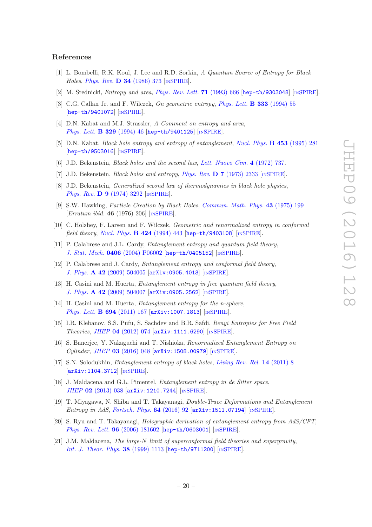### References

- <span id="page-20-0"></span>[1] L. Bombelli, R.K. Koul, J. Lee and R.D. Sorkin, A Quantum Source of Entropy for Black Holes, [Phys. Rev.](http://dx.doi.org/10.1103/PhysRevD.34.373) D 34 (1986) 373 [IN[SPIRE](http://inspirehep.net/search?p=find+J+%22Phys.Rev.,D34,373%22)].
- [2] M. Srednicki, *Entropy and area, [Phys. Rev. Lett.](http://dx.doi.org/10.1103/PhysRevLett.71.666)* **71** (1993) 666 [[hep-th/9303048](http://arxiv.org/abs/hep-th/9303048)] [IN[SPIRE](http://inspirehep.net/search?p=find+EPRINT+hep-th/9303048)].
- <span id="page-20-13"></span>[3] C.G. Callan Jr. and F. Wilczek, On geometric entropy, [Phys. Lett.](http://dx.doi.org/10.1016/0370-2693(94)91007-3) **B** 333 (1994) 55 [[hep-th/9401072](http://arxiv.org/abs/hep-th/9401072)] [IN[SPIRE](http://inspirehep.net/search?p=find+EPRINT+hep-th/9401072)].
- [4] D.N. Kabat and M.J. Strassler, A Comment on entropy and area, [Phys. Lett.](http://dx.doi.org/10.1016/0370-2693(94)90515-0) **B 329** (1994) 46 [[hep-th/9401125](http://arxiv.org/abs/hep-th/9401125)] [IN[SPIRE](http://inspirehep.net/search?p=find+EPRINT+hep-th/9401125)].
- <span id="page-20-1"></span>[5] D.N. Kabat, *Black hole entropy and entropy of entanglement*, *[Nucl. Phys.](http://dx.doi.org/10.1016/0550-3213(95)00443-V)* **B 453** (1995) 281 [[hep-th/9503016](http://arxiv.org/abs/hep-th/9503016)] [IN[SPIRE](http://inspirehep.net/search?p=find+EPRINT+hep-th/9503016)].
- <span id="page-20-2"></span>[6] J.D. Bekenstein, Black holes and the second law, [Lett. Nuovo Cim.](http://dx.doi.org/10.1007/BF02757029) 4 (1972) 737.
- [7] J.D. Bekenstein, *Black holes and entropy*, *Phys. Rev.* **D 7** [\(1973\) 2333](http://dx.doi.org/10.1103/PhysRevD.7.2333) [IN[SPIRE](http://inspirehep.net/search?p=find+J+%22Phys.Rev.,D7,2333%22)].
- [8] J.D. Bekenstein, *Generalized second law of thermodynamics in black hole physics*, Phys. Rev. **D 9** [\(1974\) 3292](http://dx.doi.org/10.1103/PhysRevD.9.3292) [IN[SPIRE](http://inspirehep.net/search?p=find+J+%22Phys.Rev.,D9,3292%22)].
- <span id="page-20-3"></span>[9] S.W. Hawking, Particle Creation by Black Holes, [Commun. Math. Phys.](http://dx.doi.org/10.1007/BF02345020) 43 (1975) 199 [*Erratum ibid.* **46** (1976) 206] [IN[SPIRE](http://inspirehep.net/search?p=find+J+%22Comm.Math.Phys.,43,199%22)].
- <span id="page-20-4"></span>[10] C. Holzhey, F. Larsen and F. Wilczek, Geometric and renormalized entropy in conformal field theory, [Nucl. Phys.](http://dx.doi.org/10.1016/0550-3213(94)90402-2)  $\bf{B}$  424 (1994) 443 [[hep-th/9403108](http://arxiv.org/abs/hep-th/9403108)] [IN[SPIRE](http://inspirehep.net/search?p=find+EPRINT+hep-th/9403108)].
- <span id="page-20-14"></span>[11] P. Calabrese and J.L. Cardy, *Entanglement entropy and quantum field theory*, J. Stat. Mech. 0406 [\(2004\) P06002](http://dx.doi.org/10.1088/1742-5468/2004/06/P06002) [[hep-th/0405152](http://arxiv.org/abs/hep-th/0405152)] [IN[SPIRE](http://inspirehep.net/search?p=find+EPRINT+hep-th/0405152)].
- <span id="page-20-5"></span>[12] P. Calabrese and J. Cardy, Entanglement entropy and conformal field theory, J. Phys. A 42 [\(2009\) 504005](http://dx.doi.org/10.1088/1751-8113/42/50/504005) [[arXiv:0905.4013](http://arxiv.org/abs/0905.4013)] [IN[SPIRE](http://inspirehep.net/search?p=find+EPRINT+arXiv:0905.4013)].
- <span id="page-20-6"></span>[13] H. Casini and M. Huerta, Entanglement entropy in free quantum field theory, J. Phys. A 42 [\(2009\) 504007](http://dx.doi.org/10.1088/1751-8113/42/50/504007) [[arXiv:0905.2562](http://arxiv.org/abs/0905.2562)] [IN[SPIRE](http://inspirehep.net/search?p=find+EPRINT+arXiv:0905.2562)].
- <span id="page-20-15"></span>[14] H. Casini and M. Huerta, *Entanglement entropy for the n-sphere*, [Phys. Lett.](http://dx.doi.org/10.1016/j.physletb.2010.09.054) **B 694** (2011) 167 [[arXiv:1007.1813](http://arxiv.org/abs/1007.1813)] [IN[SPIRE](http://inspirehep.net/search?p=find+EPRINT+arXiv:1007.1813)].
- [15] I.R. Klebanov, S.S. Pufu, S. Sachdev and B.R. Safdi, Renyi Entropies for Free Field Theories, JHEP 04 [\(2012\) 074](http://dx.doi.org/10.1007/JHEP04(2012)074) [[arXiv:1111.6290](http://arxiv.org/abs/1111.6290)] [IN[SPIRE](http://inspirehep.net/search?p=find+EPRINT+arXiv:1111.6290)].
- <span id="page-20-7"></span>[16] S. Banerjee, Y. Nakaguchi and T. Nishioka, Renormalized Entanglement Entropy on  $Cylinder, JHEP$  03 [\(2016\) 048](http://dx.doi.org/10.1007/JHEP03(2016)048)  $[ 2015) 048$   $[$  1508.00979]  $[$   $[$   $[$   $[$   $[$   $[$   $[$   $[$   $[$   $[$   $[$   $[$   $[$   $[$   $[$   $[$   $[$   $[$   $[$   $[$   $[$   $[$   $[$   $[$   $[$   $[$   $[$
- <span id="page-20-8"></span>[17] S.N. Solodukhin, Entanglement entropy of black holes, [Living Rev. Rel.](http://dx.doi.org/10.12942/lrr-2011-8) 14 (2011) 8 [[arXiv:1104.3712](http://arxiv.org/abs/1104.3712)] [IN[SPIRE](http://inspirehep.net/search?p=find+EPRINT+arXiv:1104.3712)].
- <span id="page-20-9"></span>[18] J. Maldacena and G.L. Pimentel, *Entanglement entropy in de Sitter space*, JHEP 02 [\(2013\) 038](http://dx.doi.org/10.1007/JHEP02(2013)038) [[arXiv:1210.7244](http://arxiv.org/abs/1210.7244)] [IN[SPIRE](http://inspirehep.net/search?p=find+EPRINT+arXiv:1210.7244)].
- <span id="page-20-10"></span>[19] T. Miyagawa, N. Shiba and T. Takayanagi, Double-Trace Deformations and Entanglement Entropy in AdS, [Fortsch. Phys.](http://dx.doi.org/10.1002/prop.201500098)  $64$  (2016) 92  $\text{arXiv:1511.07194}$  $\text{arXiv:1511.07194}$  $\text{arXiv:1511.07194}$  [IN[SPIRE](http://inspirehep.net/search?p=find+EPRINT+arXiv:1511.07194)].
- <span id="page-20-11"></span>[20] S. Ryu and T. Takayanagi, Holographic derivation of entanglement entropy from AdS/CFT, [Phys. Rev. Lett.](http://dx.doi.org/10.1103/PhysRevLett.96.181602) 96 (2006) 181602 [[hep-th/0603001](http://arxiv.org/abs/hep-th/0603001)] [IN[SPIRE](http://inspirehep.net/search?p=find+EPRINT+hep-th/0603001)].
- <span id="page-20-12"></span>[21] J.M. Maldacena, The large-N limit of superconformal field theories and supergravity, [Int. J. Theor. Phys.](http://dx.doi.org/10.1023/A:1026654312961) 38 (1999) 1113 [[hep-th/9711200](http://arxiv.org/abs/hep-th/9711200)] [IN[SPIRE](http://inspirehep.net/search?p=find+EPRINT+hep-th/9711200)].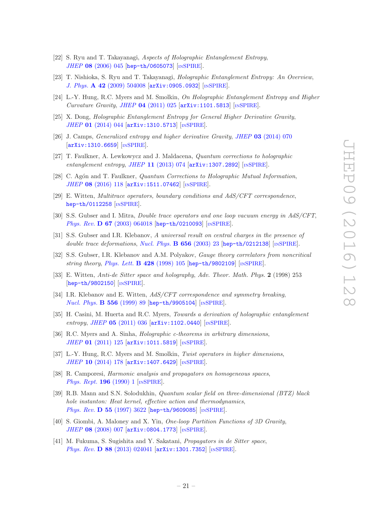- <span id="page-21-0"></span>[22] S. Ryu and T. Takayanagi, Aspects of Holographic Entanglement Entropy, JHEP 08 [\(2006\) 045](http://dx.doi.org/10.1088/1126-6708/2006/08/045) [[hep-th/0605073](http://arxiv.org/abs/hep-th/0605073)] [IN[SPIRE](http://inspirehep.net/search?p=find+EPRINT+hep-th/0605073)].
- <span id="page-21-1"></span>[23] T. Nishioka, S. Ryu and T. Takayanagi, Holographic Entanglement Entropy: An Overview, J. Phys. A 42 [\(2009\) 504008](http://dx.doi.org/10.1088/1751-8113/42/50/504008) [[arXiv:0905.0932](http://arxiv.org/abs/0905.0932)] [IN[SPIRE](http://inspirehep.net/search?p=find+EPRINT+arXiv:0905.0932)].
- <span id="page-21-3"></span>[24] L.-Y. Hung, R.C. Myers and M. Smolkin, On Holographic Entanglement Entropy and Higher Curvature Gravity, JHEP  $04$  [\(2011\) 025](http://dx.doi.org/10.1007/JHEP04(2011)025) [[arXiv:1101.5813](http://arxiv.org/abs/1101.5813)] [IN[SPIRE](http://inspirehep.net/search?p=find+EPRINT+arXiv:1101.5813)].
- [25] X. Dong, Holographic Entanglement Entropy for General Higher Derivative Gravity, JHEP 01 [\(2014\) 044](http://dx.doi.org/10.1007/JHEP01(2014)044) [[arXiv:1310.5713](http://arxiv.org/abs/1310.5713)] [IN[SPIRE](http://inspirehep.net/search?p=find+EPRINT+arXiv:1310.5713)].
- <span id="page-21-4"></span>[26] J. Camps, *Generalized entropy and higher derivative Gravity*, *JHEP* 03 [\(2014\) 070](http://dx.doi.org/10.1007/JHEP03(2014)070) [[arXiv:1310.6659](http://arxiv.org/abs/1310.6659)] [IN[SPIRE](http://inspirehep.net/search?p=find+EPRINT+arXiv:1310.6659)].
- <span id="page-21-2"></span>[27] T. Faulkner, A. Lewkowycz and J. Maldacena, Quantum corrections to holographic entanglement entropy, JHEP 11 [\(2013\) 074](http://dx.doi.org/10.1007/JHEP11(2013)074)  $[\text{arXiv:1307}.2892]$   $[\text{nsPIRE}]$ .
- <span id="page-21-12"></span>[28] C. Agón and T. Faulkner, *Quantum Corrections to Holographic Mutual Information*, JHEP 08 [\(2016\) 118](http://dx.doi.org/10.1007/JHEP08(2016)118) [[arXiv:1511.07462](http://arxiv.org/abs/1511.07462)] [IN[SPIRE](http://inspirehep.net/search?p=find+EPRINT+arXiv:1511.07462)].
- <span id="page-21-5"></span>[29] E. Witten, Multitrace operators, boundary conditions and AdS/CFT correspondence, [hep-th/0112258](http://arxiv.org/abs/hep-th/0112258) [IN[SPIRE](http://inspirehep.net/search?p=find+EPRINT+hep-th/0112258)].
- <span id="page-21-13"></span>[30] S.S. Gubser and I. Mitra, Double trace operators and one loop vacuum energy in AdS/CFT, Phys. Rev. **D 67** [\(2003\) 064018](http://dx.doi.org/10.1103/PhysRevD.67.064018) [[hep-th/0210093](http://arxiv.org/abs/hep-th/0210093)] [IN[SPIRE](http://inspirehep.net/search?p=find+EPRINT+hep-th/0210093)].
- <span id="page-21-6"></span>[31] S.S. Gubser and I.R. Klebanov, A universal result on central charges in the presence of double trace deformations, [Nucl. Phys.](http://dx.doi.org/10.1016/S0550-3213(03)00056-7)  $\bf{B}$  656 (2003) 23 [[hep-th/0212138](http://arxiv.org/abs/hep-th/0212138)] [IN[SPIRE](http://inspirehep.net/search?p=find+EPRINT+hep-th/0212138)].
- <span id="page-21-7"></span>[32] S.S. Gubser, I.R. Klebanov and A.M. Polyakov, Gauge theory correlators from noncritical string theory, [Phys. Lett.](http://dx.doi.org/10.1016/S0370-2693(98)00377-3)  $\bf{B}$  428 (1998) 105 [[hep-th/9802109](http://arxiv.org/abs/hep-th/9802109)] [IN[SPIRE](http://inspirehep.net/search?p=find+EPRINT+hep-th/9802109)].
- <span id="page-21-8"></span>[33] E. Witten, Anti-de Sitter space and holography, Adv. Theor. Math. Phys. 2 (1998) 253 [[hep-th/9802150](http://arxiv.org/abs/hep-th/9802150)] [IN[SPIRE](http://inspirehep.net/search?p=find+EPRINT+hep-th/9802150)].
- <span id="page-21-9"></span>[34] I.R. Klebanov and E. Witten, AdS/CFT correspondence and symmetry breaking, [Nucl. Phys.](http://dx.doi.org/10.1016/S0550-3213(99)00387-9) B 556 (1999) 89 [[hep-th/9905104](http://arxiv.org/abs/hep-th/9905104)] [IN[SPIRE](http://inspirehep.net/search?p=find+EPRINT+hep-th/9905104)].
- <span id="page-21-10"></span>[35] H. Casini, M. Huerta and R.C. Myers, *Towards a derivation of holographic entanglement* entropy, JHEP 05 [\(2011\) 036](http://dx.doi.org/10.1007/JHEP05(2011)036) [[arXiv:1102.0440](http://arxiv.org/abs/1102.0440)] [IN[SPIRE](http://inspirehep.net/search?p=find+EPRINT+arXiv:1102.0440)].
- <span id="page-21-11"></span>[36] R.C. Myers and A. Sinha, *Holographic c-theorems in arbitrary dimensions*, JHEP 01 [\(2011\) 125](http://dx.doi.org/10.1007/JHEP01(2011)125) [[arXiv:1011.5819](http://arxiv.org/abs/1011.5819)] [IN[SPIRE](http://inspirehep.net/search?p=find+EPRINT+arXiv:1011.5819)].
- <span id="page-21-14"></span>[37] L.-Y. Hung, R.C. Myers and M. Smolkin, Twist operators in higher dimensions, JHEP 10 [\(2014\) 178](http://dx.doi.org/10.1007/JHEP10(2014)178) [[arXiv:1407.6429](http://arxiv.org/abs/1407.6429)] [IN[SPIRE](http://inspirehep.net/search?p=find+EPRINT+arXiv:1407.6429)].
- <span id="page-21-15"></span>[38] R. Camporesi, Harmonic analysis and propagators on homogeneous spaces, [Phys. Rept.](http://dx.doi.org/10.1016/0370-1573(90)90120-Q) **196** (1990) 1 [IN[SPIRE](http://inspirehep.net/search?p=find+J+%22Phys.Rept.,196,1%22)].
- <span id="page-21-17"></span>[39] R.B. Mann and S.N. Solodukhin, Quantum scalar field on three-dimensional (BTZ) black hole instanton: Heat kernel, effective action and thermodynamics, Phys. Rev. **D 55** [\(1997\) 3622](http://dx.doi.org/10.1103/PhysRevD.55.3622) [[hep-th/9609085](http://arxiv.org/abs/hep-th/9609085)] [IN[SPIRE](http://inspirehep.net/search?p=find+EPRINT+hep-th/9609085)].
- <span id="page-21-18"></span>[40] S. Giombi, A. Maloney and X. Yin, One-loop Partition Functions of 3D Gravity, JHEP 08 [\(2008\) 007](http://dx.doi.org/10.1088/1126-6708/2008/08/007) [[arXiv:0804.1773](http://arxiv.org/abs/0804.1773)] [IN[SPIRE](http://inspirehep.net/search?p=find+EPRINT+arXiv:0804.1773)].
- <span id="page-21-16"></span>[41] M. Fukuma, S. Sugishita and Y. Sakatani, *Propagators in de Sitter space*, Phys. Rev. **D 88** [\(2013\) 024041](http://dx.doi.org/10.1103/PhysRevD.88.024041) [[arXiv:1301.7352](http://arxiv.org/abs/1301.7352)] [IN[SPIRE](http://inspirehep.net/search?p=find+EPRINT+arXiv:1301.7352)].